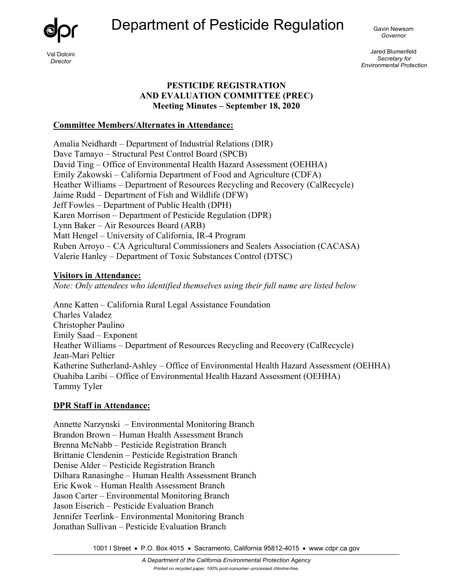Department of Pesticide Regulation <sub>Gavin Newsom</sub>



*Director* 

*Governor* 

Jared Blumenfeld *Secretary for Environmental Protection* 

## **PESTICIDE REGISTRATION AND EVALUATION COMMITTEE (PREC) Meeting Minutes – September 18, 2020**

### **Committee Members/Alternates in Attendance:**

Amalia Neidhardt – Department of Industrial Relations (DIR) Dave Tamayo – Structural Pest Control Board (SPCB) David Ting – Office of Environmental Health Hazard Assessment (OEHHA) Emily Zakowski – California Department of Food and Agriculture (CDFA) Heather Williams – Department of Resources Recycling and Recovery (CalRecycle) Jaime Rudd – Department of Fish and Wildlife (DFW) Jeff Fowles – Department of Public Health (DPH) Karen Morrison – Department of Pesticide Regulation (DPR) Lynn Baker – Air Resources Board (ARB) Matt Hengel – University of California, IR-4 Program Ruben Arroyo – CA Agricultural Commissioners and Sealers Association (CACASA) Valerie Hanley – Department of Toxic Substances Control (DTSC)

## **Visitors in Attendance:**

*Note: Only attendees who identified themselves using their full name are listed below*

Anne Katten – California Rural Legal Assistance Foundation Charles Valadez Christopher Paulino Emily Saad – Exponent Heather Williams – Department of Resources Recycling and Recovery (CalRecycle) Jean-Mari Peltier Katherine Sutherland-Ashley – Office of Environmental Health Hazard Assessment (OEHHA) Ouahiba Laribi – Office of Environmental Health Hazard Assessment (OEHHA) Tammy Tyler

# **DPR Staff in Attendance:**

Annette Narzynski – Environmental Monitoring Branch Brandon Brown – Human Health Assessment Branch Brenna McNabb – Pesticide Registration Branch Brittanie Clendenin – Pesticide Registration Branch Denise Alder – Pesticide Registration Branch Dilhara Ranasinghe – Human Health Assessment Branch Eric Kwok – Human Health Assessment Branch Jason Carter – Environmental Monitoring Branch Jason Eiserich – Pesticide Evaluation Branch Jennifer Teerlink– Environmental Monitoring Branch Jonathan Sullivan – Pesticide Evaluation Branch

1001 I Street • P.O. Box 4015 • Sacramento, California 95812-4015 • [www.cdpr.ca.gov](http://www.cdpr.ca.gov/)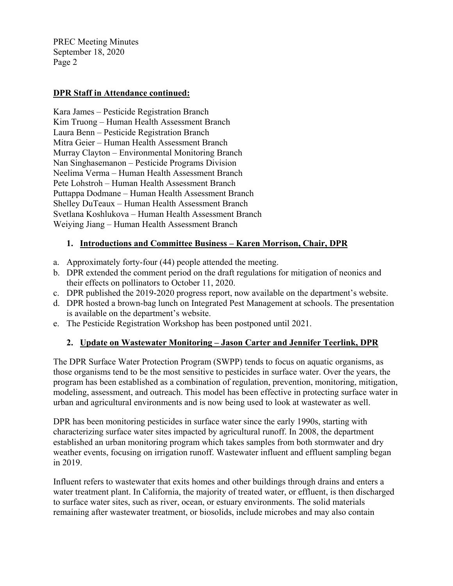# **DPR Staff in Attendance continued:**

Kara James – Pesticide Registration Branch Kim Truong – Human Health Assessment Branch Laura Benn – Pesticide Registration Branch Mitra Geier – Human Health Assessment Branch Murray Clayton – Environmental Monitoring Branch Nan Singhasemanon – Pesticide Programs Division Neelima Verma – Human Health Assessment Branch Pete Lohstroh – Human Health Assessment Branch Puttappa Dodmane – Human Health Assessment Branch Shelley DuTeaux – Human Health Assessment Branch Svetlana Koshlukova – Human Health Assessment Branch Weiying Jiang – Human Health Assessment Branch

## **1. Introductions and Committee Business – Karen Morrison, Chair, DPR**

- a. Approximately forty-four (44) people attended the meeting.
- b. DPR extended the comment period on the draft regulations for mitigation of neonics and their effects on pollinators to October 11, 2020.
- c. DPR published the 2019-2020 progress report, now available on the department's website.
- d. DPR hosted a brown-bag lunch on Integrated Pest Management at schools. The presentation is available on the department's website.
- e. The Pesticide Registration Workshop has been postponed until 2021.

# **2. Update on Wastewater Monitoring – Jason Carter and Jennifer Teerlink, DPR**

The DPR Surface Water Protection Program (SWPP) tends to focus on aquatic organisms, as those organisms tend to be the most sensitive to pesticides in surface water. Over the years, the program has been established as a combination of regulation, prevention, monitoring, mitigation, modeling, assessment, and outreach. This model has been effective in protecting surface water in urban and agricultural environments and is now being used to look at wastewater as well.

DPR has been monitoring pesticides in surface water since the early 1990s, starting with characterizing surface water sites impacted by agricultural runoff. In 2008, the department established an urban monitoring program which takes samples from both stormwater and dry weather events, focusing on irrigation runoff. Wastewater influent and effluent sampling began in 2019.

Influent refers to wastewater that exits homes and other buildings through drains and enters a water treatment plant. In California, the majority of treated water, or effluent, is then discharged to surface water sites, such as river, ocean, or estuary environments. The solid materials remaining after wastewater treatment, or biosolids, include microbes and may also contain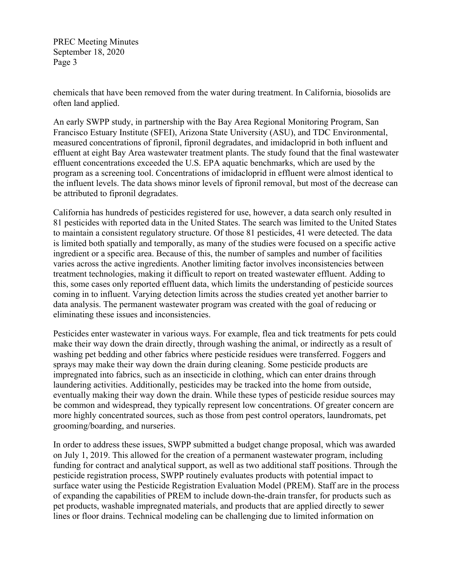chemicals that have been removed from the water during treatment. In California, biosolids are often land applied.

An early SWPP study, in partnership with the Bay Area Regional Monitoring Program, San Francisco Estuary Institute (SFEI), Arizona State University (ASU), and TDC Environmental, measured concentrations of fipronil, fipronil degradates, and imidacloprid in both influent and effluent at eight Bay Area wastewater treatment plants. The study found that the final wastewater effluent concentrations exceeded the U.S. EPA aquatic benchmarks, which are used by the program as a screening tool. Concentrations of imidacloprid in effluent were almost identical to the influent levels. The data shows minor levels of fipronil removal, but most of the decrease can be attributed to fipronil degradates.

California has hundreds of pesticides registered for use, however, a data search only resulted in 81 pesticides with reported data in the United States. The search was limited to the United States to maintain a consistent regulatory structure. Of those 81 pesticides, 41 were detected. The data is limited both spatially and temporally, as many of the studies were focused on a specific active ingredient or a specific area. Because of this, the number of samples and number of facilities varies across the active ingredients. Another limiting factor involves inconsistencies between treatment technologies, making it difficult to report on treated wastewater effluent. Adding to this, some cases only reported effluent data, which limits the understanding of pesticide sources coming in to influent. Varying detection limits across the studies created yet another barrier to data analysis. The permanent wastewater program was created with the goal of reducing or eliminating these issues and inconsistencies.

Pesticides enter wastewater in various ways. For example, flea and tick treatments for pets could make their way down the drain directly, through washing the animal, or indirectly as a result of washing pet bedding and other fabrics where pesticide residues were transferred. Foggers and sprays may make their way down the drain during cleaning. Some pesticide products are impregnated into fabrics, such as an insecticide in clothing, which can enter drains through laundering activities. Additionally, pesticides may be tracked into the home from outside, eventually making their way down the drain. While these types of pesticide residue sources may be common and widespread, they typically represent low concentrations. Of greater concern are more highly concentrated sources, such as those from pest control operators, laundromats, pet grooming/boarding, and nurseries.

In order to address these issues, SWPP submitted a budget change proposal, which was awarded on July 1, 2019. This allowed for the creation of a permanent wastewater program, including funding for contract and analytical support, as well as two additional staff positions. Through the pesticide registration process, SWPP routinely evaluates products with potential impact to surface water using the Pesticide Registration Evaluation Model (PREM). Staff are in the process of expanding the capabilities of PREM to include down-the-drain transfer, for products such as pet products, washable impregnated materials, and products that are applied directly to sewer lines or floor drains. Technical modeling can be challenging due to limited information on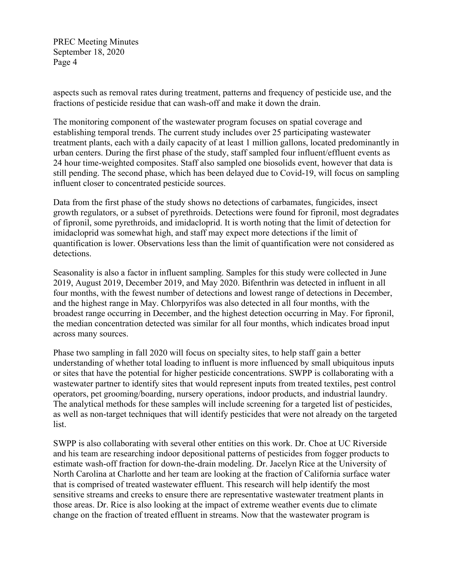aspects such as removal rates during treatment, patterns and frequency of pesticide use, and the fractions of pesticide residue that can wash-off and make it down the drain.

The monitoring component of the wastewater program focuses on spatial coverage and establishing temporal trends. The current study includes over 25 participating wastewater treatment plants, each with a daily capacity of at least 1 million gallons, located predominantly in urban centers. During the first phase of the study, staff sampled four influent/effluent events as 24 hour time-weighted composites. Staff also sampled one biosolids event, however that data is still pending. The second phase, which has been delayed due to Covid-19, will focus on sampling influent closer to concentrated pesticide sources.

Data from the first phase of the study shows no detections of carbamates, fungicides, insect growth regulators, or a subset of pyrethroids. Detections were found for fipronil, most degradates of fipronil, some pyrethroids, and imidacloprid. It is worth noting that the limit of detection for imidacloprid was somewhat high, and staff may expect more detections if the limit of quantification is lower. Observations less than the limit of quantification were not considered as detections.

Seasonality is also a factor in influent sampling. Samples for this study were collected in June 2019, August 2019, December 2019, and May 2020. Bifenthrin was detected in influent in all four months, with the fewest number of detections and lowest range of detections in December, and the highest range in May. Chlorpyrifos was also detected in all four months, with the broadest range occurring in December, and the highest detection occurring in May. For fipronil, the median concentration detected was similar for all four months, which indicates broad input across many sources.

Phase two sampling in fall 2020 will focus on specialty sites, to help staff gain a better understanding of whether total loading to influent is more influenced by small ubiquitous inputs or sites that have the potential for higher pesticide concentrations. SWPP is collaborating with a wastewater partner to identify sites that would represent inputs from treated textiles, pest control operators, pet grooming/boarding, nursery operations, indoor products, and industrial laundry. The analytical methods for these samples will include screening for a targeted list of pesticides, as well as non-target techniques that will identify pesticides that were not already on the targeted list.

SWPP is also collaborating with several other entities on this work. Dr. Choe at UC Riverside and his team are researching indoor depositional patterns of pesticides from fogger products to estimate wash-off fraction for down-the-drain modeling. Dr. Jacelyn Rice at the University of North Carolina at Charlotte and her team are looking at the fraction of California surface water that is comprised of treated wastewater effluent. This research will help identify the most sensitive streams and creeks to ensure there are representative wastewater treatment plants in those areas. Dr. Rice is also looking at the impact of extreme weather events due to climate change on the fraction of treated effluent in streams. Now that the wastewater program is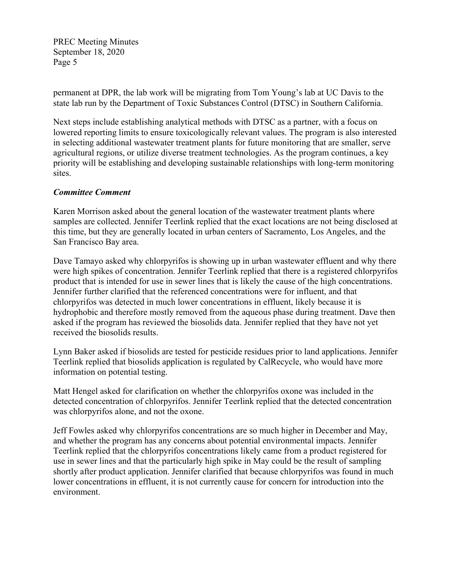permanent at DPR, the lab work will be migrating from Tom Young's lab at UC Davis to the state lab run by the Department of Toxic Substances Control (DTSC) in Southern California.

Next steps include establishing analytical methods with DTSC as a partner, with a focus on lowered reporting limits to ensure toxicologically relevant values. The program is also interested in selecting additional wastewater treatment plants for future monitoring that are smaller, serve agricultural regions, or utilize diverse treatment technologies. As the program continues, a key priority will be establishing and developing sustainable relationships with long-term monitoring sites.

## *Committee Comment*

Karen Morrison asked about the general location of the wastewater treatment plants where samples are collected. Jennifer Teerlink replied that the exact locations are not being disclosed at this time, but they are generally located in urban centers of Sacramento, Los Angeles, and the San Francisco Bay area.

Dave Tamayo asked why chlorpyrifos is showing up in urban wastewater effluent and why there were high spikes of concentration. Jennifer Teerlink replied that there is a registered chlorpyrifos product that is intended for use in sewer lines that is likely the cause of the high concentrations. Jennifer further clarified that the referenced concentrations were for influent, and that chlorpyrifos was detected in much lower concentrations in effluent, likely because it is hydrophobic and therefore mostly removed from the aqueous phase during treatment. Dave then asked if the program has reviewed the biosolids data. Jennifer replied that they have not yet received the biosolids results.

Lynn Baker asked if biosolids are tested for pesticide residues prior to land applications. Jennifer Teerlink replied that biosolids application is regulated by CalRecycle, who would have more information on potential testing.

Matt Hengel asked for clarification on whether the chlorpyrifos oxone was included in the detected concentration of chlorpyrifos. Jennifer Teerlink replied that the detected concentration was chlorpyrifos alone, and not the oxone.

Jeff Fowles asked why chlorpyrifos concentrations are so much higher in December and May, and whether the program has any concerns about potential environmental impacts. Jennifer Teerlink replied that the chlorpyrifos concentrations likely came from a product registered for use in sewer lines and that the particularly high spike in May could be the result of sampling shortly after product application. Jennifer clarified that because chlorpyrifos was found in much lower concentrations in effluent, it is not currently cause for concern for introduction into the environment.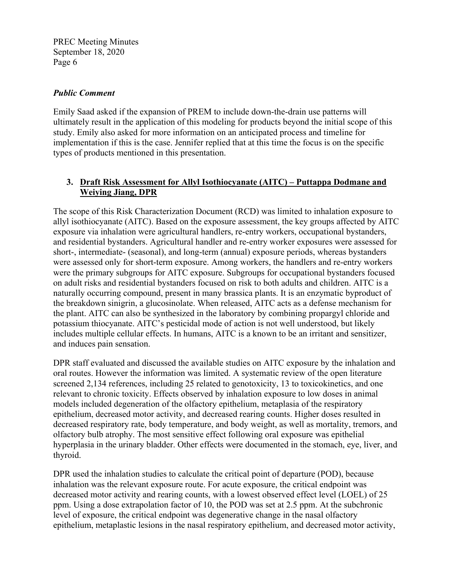## *Public Comment*

Emily Saad asked if the expansion of PREM to include down-the-drain use patterns will ultimately result in the application of this modeling for products beyond the initial scope of this study. Emily also asked for more information on an anticipated process and timeline for implementation if this is the case. Jennifer replied that at this time the focus is on the specific types of products mentioned in this presentation.

# **3. Draft Risk Assessment for Allyl Isothiocyanate (AITC) – Puttappa Dodmane and Weiying Jiang, DPR**

The scope of this Risk Characterization Document (RCD) was limited to inhalation exposure to allyl isothiocyanate (AITC). Based on the exposure assessment, the key groups affected by AITC exposure via inhalation were agricultural handlers, re-entry workers, occupational bystanders, and residential bystanders. Agricultural handler and re-entry worker exposures were assessed for short-, intermediate- (seasonal), and long-term (annual) exposure periods, whereas bystanders were assessed only for short-term exposure. Among workers, the handlers and re-entry workers were the primary subgroups for AITC exposure. Subgroups for occupational bystanders focused on adult risks and residential bystanders focused on risk to both adults and children. AITC is a naturally occurring compound, present in many brassica plants. It is an enzymatic byproduct of the breakdown sinigrin, a glucosinolate. When released, AITC acts as a defense mechanism for the plant. AITC can also be synthesized in the laboratory by combining propargyl chloride and potassium thiocyanate. AITC's pesticidal mode of action is not well understood, but likely includes multiple cellular effects. In humans, AITC is a known to be an irritant and sensitizer, and induces pain sensation.

DPR staff evaluated and discussed the available studies on AITC exposure by the inhalation and oral routes. However the information was limited. A systematic review of the open literature screened 2,134 references, including 25 related to genotoxicity, 13 to toxicokinetics, and one relevant to chronic toxicity. Effects observed by inhalation exposure to low doses in animal models included degeneration of the olfactory epithelium, metaplasia of the respiratory epithelium, decreased motor activity, and decreased rearing counts. Higher doses resulted in decreased respiratory rate, body temperature, and body weight, as well as mortality, tremors, and olfactory bulb atrophy. The most sensitive effect following oral exposure was epithelial hyperplasia in the urinary bladder. Other effects were documented in the stomach, eye, liver, and thyroid.

DPR used the inhalation studies to calculate the critical point of departure (POD), because inhalation was the relevant exposure route. For acute exposure, the critical endpoint was decreased motor activity and rearing counts, with a lowest observed effect level (LOEL) of 25 ppm. Using a dose extrapolation factor of 10, the POD was set at 2.5 ppm. At the subchronic level of exposure, the critical endpoint was degenerative change in the nasal olfactory epithelium, metaplastic lesions in the nasal respiratory epithelium, and decreased motor activity,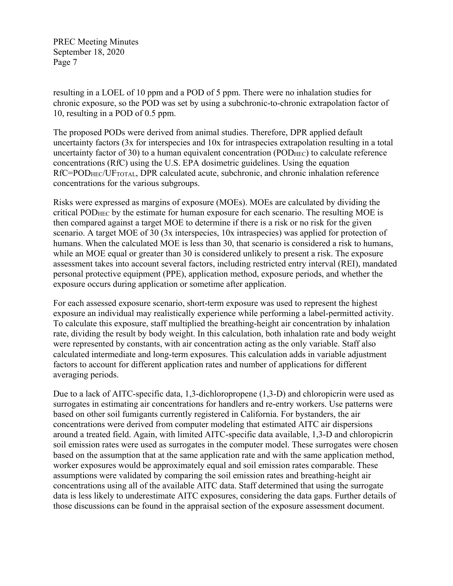resulting in a LOEL of 10 ppm and a POD of 5 ppm. There were no inhalation studies for chronic exposure, so the POD was set by using a subchronic-to-chronic extrapolation factor of 10, resulting in a POD of 0.5 ppm.

The proposed PODs were derived from animal studies. Therefore, DPR applied default uncertainty factors (3x for interspecies and 10x for intraspecies extrapolation resulting in a total uncertainty factor of 30) to a human equivalent concentration (POD<sub>HEC</sub>) to calculate reference concentrations (RfC) using the U.S. EPA dosimetric guidelines. Using the equation RfC=POD<sub>HEC</sub>/UF<sub>TOTAL</sub>, DPR calculated acute, subchronic, and chronic inhalation reference concentrations for the various subgroups.

Risks were expressed as margins of exposure (MOEs). MOEs are calculated by dividing the critical PODHEC by the estimate for human exposure for each scenario. The resulting MOE is then compared against a target MOE to determine if there is a risk or no risk for the given scenario. A target MOE of 30 (3x interspecies, 10x intraspecies) was applied for protection of humans. When the calculated MOE is less than 30, that scenario is considered a risk to humans, while an MOE equal or greater than 30 is considered unlikely to present a risk. The exposure assessment takes into account several factors, including restricted entry interval (REI), mandated personal protective equipment (PPE), application method, exposure periods, and whether the exposure occurs during application or sometime after application.

For each assessed exposure scenario, short-term exposure was used to represent the highest exposure an individual may realistically experience while performing a label-permitted activity. To calculate this exposure, staff multiplied the breathing-height air concentration by inhalation rate, dividing the result by body weight. In this calculation, both inhalation rate and body weight were represented by constants, with air concentration acting as the only variable. Staff also calculated intermediate and long-term exposures. This calculation adds in variable adjustment factors to account for different application rates and number of applications for different averaging periods.

Due to a lack of AITC-specific data, 1,3-dichloropropene (1,3-D) and chloropicrin were used as surrogates in estimating air concentrations for handlers and re-entry workers. Use patterns were based on other soil fumigants currently registered in California. For bystanders, the air concentrations were derived from computer modeling that estimated AITC air dispersions around a treated field. Again, with limited AITC-specific data available, 1,3-D and chloropicrin soil emission rates were used as surrogates in the computer model. These surrogates were chosen based on the assumption that at the same application rate and with the same application method, worker exposures would be approximately equal and soil emission rates comparable. These assumptions were validated by comparing the soil emission rates and breathing-height air concentrations using all of the available AITC data. Staff determined that using the surrogate data is less likely to underestimate AITC exposures, considering the data gaps. Further details of those discussions can be found in the appraisal section of the exposure assessment document.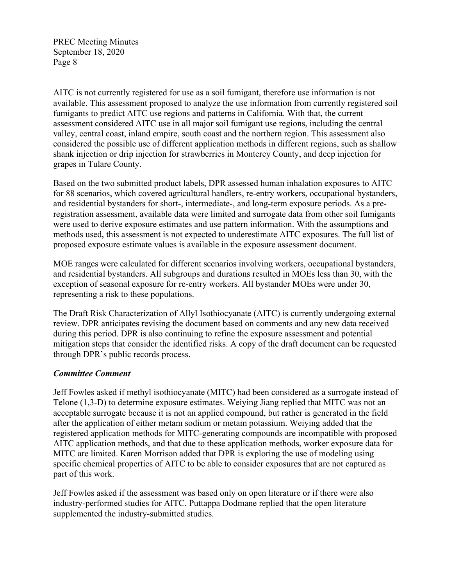AITC is not currently registered for use as a soil fumigant, therefore use information is not available. This assessment proposed to analyze the use information from currently registered soil fumigants to predict AITC use regions and patterns in California. With that, the current assessment considered AITC use in all major soil fumigant use regions, including the central valley, central coast, inland empire, south coast and the northern region. This assessment also considered the possible use of different application methods in different regions, such as shallow shank injection or drip injection for strawberries in Monterey County, and deep injection for grapes in Tulare County.

Based on the two submitted product labels, DPR assessed human inhalation exposures to AITC for 88 scenarios, which covered agricultural handlers, re-entry workers, occupational bystanders, and residential bystanders for short-, intermediate-, and long-term exposure periods. As a preregistration assessment, available data were limited and surrogate data from other soil fumigants were used to derive exposure estimates and use pattern information. With the assumptions and methods used, this assessment is not expected to underestimate AITC exposures. The full list of proposed exposure estimate values is available in the exposure assessment document.

MOE ranges were calculated for different scenarios involving workers, occupational bystanders, and residential bystanders. All subgroups and durations resulted in MOEs less than 30, with the exception of seasonal exposure for re-entry workers. All bystander MOEs were under 30, representing a risk to these populations.

The Draft Risk Characterization of Allyl Isothiocyanate (AITC) is currently undergoing external review. DPR anticipates revising the document based on comments and any new data received during this period. DPR is also continuing to refine the exposure assessment and potential mitigation steps that consider the identified risks. A copy of the draft document can be requested through DPR's public records process.

### *Committee Comment*

Jeff Fowles asked if methyl isothiocyanate (MITC) had been considered as a surrogate instead of Telone (1,3-D) to determine exposure estimates. Weiying Jiang replied that MITC was not an acceptable surrogate because it is not an applied compound, but rather is generated in the field after the application of either metam sodium or metam potassium. Weiying added that the registered application methods for MITC-generating compounds are incompatible with proposed AITC application methods, and that due to these application methods, worker exposure data for MITC are limited. Karen Morrison added that DPR is exploring the use of modeling using specific chemical properties of AITC to be able to consider exposures that are not captured as part of this work.

Jeff Fowles asked if the assessment was based only on open literature or if there were also industry-performed studies for AITC. Puttappa Dodmane replied that the open literature supplemented the industry-submitted studies.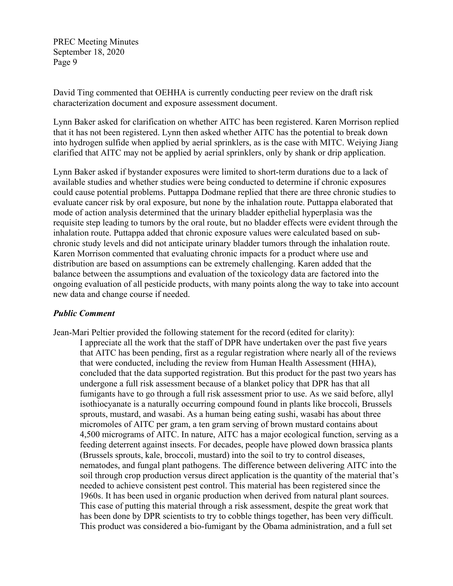David Ting commented that OEHHA is currently conducting peer review on the draft risk characterization document and exposure assessment document.

Lynn Baker asked for clarification on whether AITC has been registered. Karen Morrison replied that it has not been registered. Lynn then asked whether AITC has the potential to break down into hydrogen sulfide when applied by aerial sprinklers, as is the case with MITC. Weiying Jiang clarified that AITC may not be applied by aerial sprinklers, only by shank or drip application.

Lynn Baker asked if bystander exposures were limited to short-term durations due to a lack of available studies and whether studies were being conducted to determine if chronic exposures could cause potential problems. Puttappa Dodmane replied that there are three chronic studies to evaluate cancer risk by oral exposure, but none by the inhalation route. Puttappa elaborated that mode of action analysis determined that the urinary bladder epithelial hyperplasia was the requisite step leading to tumors by the oral route, but no bladder effects were evident through the inhalation route. Puttappa added that chronic exposure values were calculated based on subchronic study levels and did not anticipate urinary bladder tumors through the inhalation route. Karen Morrison commented that evaluating chronic impacts for a product where use and distribution are based on assumptions can be extremely challenging. Karen added that the balance between the assumptions and evaluation of the toxicology data are factored into the ongoing evaluation of all pesticide products, with many points along the way to take into account new data and change course if needed.

### *Public Comment*

Jean-Mari Peltier provided the following statement for the record (edited for clarity): I appreciate all the work that the staff of DPR have undertaken over the past five years that AITC has been pending, first as a regular registration where nearly all of the reviews that were conducted, including the review from Human Health Assessment (HHA), concluded that the data supported registration. But this product for the past two years has undergone a full risk assessment because of a blanket policy that DPR has that all fumigants have to go through a full risk assessment prior to use. As we said before, allyl isothiocyanate is a naturally occurring compound found in plants like broccoli, Brussels sprouts, mustard, and wasabi. As a human being eating sushi, wasabi has about three micromoles of AITC per gram, a ten gram serving of brown mustard contains about 4,500 micrograms of AITC. In nature, AITC has a major ecological function, serving as a feeding deterrent against insects. For decades, people have plowed down brassica plants (Brussels sprouts, kale, broccoli, mustard) into the soil to try to control diseases, nematodes, and fungal plant pathogens. The difference between delivering AITC into the soil through crop production versus direct application is the quantity of the material that's needed to achieve consistent pest control. This material has been registered since the 1960s. It has been used in organic production when derived from natural plant sources. This case of putting this material through a risk assessment, despite the great work that has been done by DPR scientists to try to cobble things together, has been very difficult. This product was considered a bio-fumigant by the Obama administration, and a full set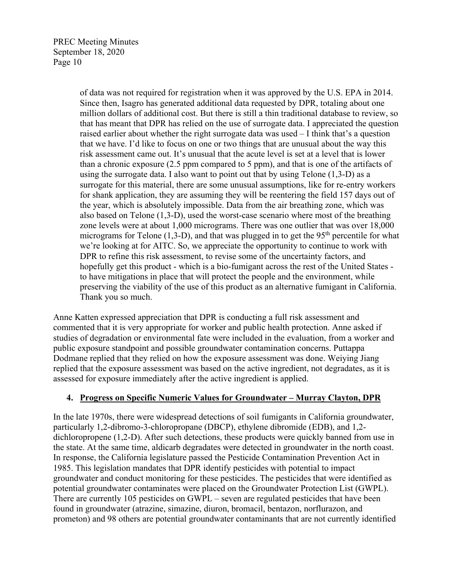> of data was not required for registration when it was approved by the U.S. EPA in 2014. Since then, Isagro has generated additional data requested by DPR, totaling about one million dollars of additional cost. But there is still a thin traditional database to review, so that has meant that DPR has relied on the use of surrogate data. I appreciated the question raised earlier about whether the right surrogate data was used – I think that's a question that we have. I'd like to focus on one or two things that are unusual about the way this risk assessment came out. It's unusual that the acute level is set at a level that is lower than a chronic exposure (2.5 ppm compared to 5 ppm), and that is one of the artifacts of using the surrogate data. I also want to point out that by using Telone (1,3-D) as a surrogate for this material, there are some unusual assumptions, like for re-entry workers for shank application, they are assuming they will be reentering the field 157 days out of the year, which is absolutely impossible. Data from the air breathing zone, which was also based on Telone (1,3-D), used the worst-case scenario where most of the breathing zone levels were at about 1,000 micrograms. There was one outlier that was over 18,000 micrograms for Telone  $(1,3-D)$ , and that was plugged in to get the 95<sup>th</sup> percentile for what we're looking at for AITC. So, we appreciate the opportunity to continue to work with DPR to refine this risk assessment, to revise some of the uncertainty factors, and hopefully get this product - which is a bio-fumigant across the rest of the United States to have mitigations in place that will protect the people and the environment, while preserving the viability of the use of this product as an alternative fumigant in California. Thank you so much.

Anne Katten expressed appreciation that DPR is conducting a full risk assessment and commented that it is very appropriate for worker and public health protection. Anne asked if studies of degradation or environmental fate were included in the evaluation, from a worker and public exposure standpoint and possible groundwater contamination concerns. Puttappa Dodmane replied that they relied on how the exposure assessment was done. Weiying Jiang replied that the exposure assessment was based on the active ingredient, not degradates, as it is assessed for exposure immediately after the active ingredient is applied.

# **4. Progress on Specific Numeric Values for Groundwater – Murray Clayton, DPR**

In the late 1970s, there were widespread detections of soil fumigants in California groundwater, particularly 1,2-dibromo-3-chloropropane (DBCP), ethylene dibromide (EDB), and 1,2 dichloropropene (1,2-D). After such detections, these products were quickly banned from use in the state. At the same time, aldicarb degradates were detected in groundwater in the north coast. In response, the California legislature passed the Pesticide Contamination Prevention Act in 1985. This legislation mandates that DPR identify pesticides with potential to impact groundwater and conduct monitoring for these pesticides. The pesticides that were identified as potential groundwater contaminates were placed on the Groundwater Protection List (GWPL). There are currently 105 pesticides on GWPL – seven are regulated pesticides that have been found in groundwater (atrazine, simazine, diuron, bromacil, bentazon, norflurazon, and prometon) and 98 others are potential groundwater contaminants that are not currently identified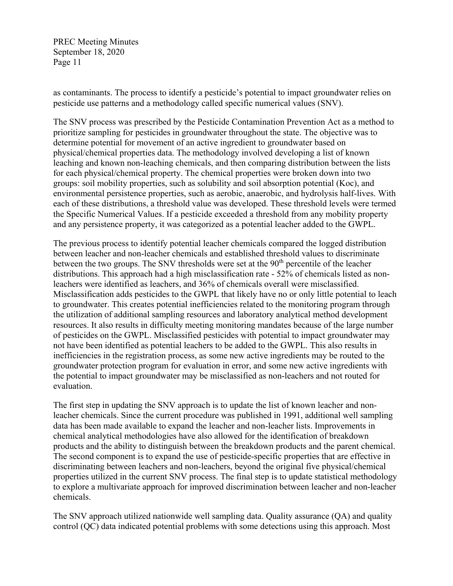as contaminants. The process to identify a pesticide's potential to impact groundwater relies on pesticide use patterns and a methodology called specific numerical values (SNV).

The SNV process was prescribed by the Pesticide Contamination Prevention Act as a method to prioritize sampling for pesticides in groundwater throughout the state. The objective was to determine potential for movement of an active ingredient to groundwater based on physical/chemical properties data. The methodology involved developing a list of known leaching and known non-leaching chemicals, and then comparing distribution between the lists for each physical/chemical property. The chemical properties were broken down into two groups: soil mobility properties, such as solubility and soil absorption potential (Koc), and environmental persistence properties, such as aerobic, anaerobic, and hydrolysis half-lives. With each of these distributions, a threshold value was developed. These threshold levels were termed the Specific Numerical Values. If a pesticide exceeded a threshold from any mobility property and any persistence property, it was categorized as a potential leacher added to the GWPL.

The previous process to identify potential leacher chemicals compared the logged distribution between leacher and non-leacher chemicals and established threshold values to discriminate between the two groups. The SNV thresholds were set at the  $90<sup>th</sup>$  percentile of the leacher distributions. This approach had a high misclassification rate - 52% of chemicals listed as nonleachers were identified as leachers, and 36% of chemicals overall were misclassified. Misclassification adds pesticides to the GWPL that likely have no or only little potential to leach to groundwater. This creates potential inefficiencies related to the monitoring program through the utilization of additional sampling resources and laboratory analytical method development resources. It also results in difficulty meeting monitoring mandates because of the large number of pesticides on the GWPL. Misclassified pesticides with potential to impact groundwater may not have been identified as potential leachers to be added to the GWPL. This also results in inefficiencies in the registration process, as some new active ingredients may be routed to the groundwater protection program for evaluation in error, and some new active ingredients with the potential to impact groundwater may be misclassified as non-leachers and not routed for evaluation.

The first step in updating the SNV approach is to update the list of known leacher and nonleacher chemicals. Since the current procedure was published in 1991, additional well sampling data has been made available to expand the leacher and non-leacher lists. Improvements in chemical analytical methodologies have also allowed for the identification of breakdown products and the ability to distinguish between the breakdown products and the parent chemical. The second component is to expand the use of pesticide-specific properties that are effective in discriminating between leachers and non-leachers, beyond the original five physical/chemical properties utilized in the current SNV process. The final step is to update statistical methodology to explore a multivariate approach for improved discrimination between leacher and non-leacher chemicals.

The SNV approach utilized nationwide well sampling data. Quality assurance (QA) and quality control (QC) data indicated potential problems with some detections using this approach. Most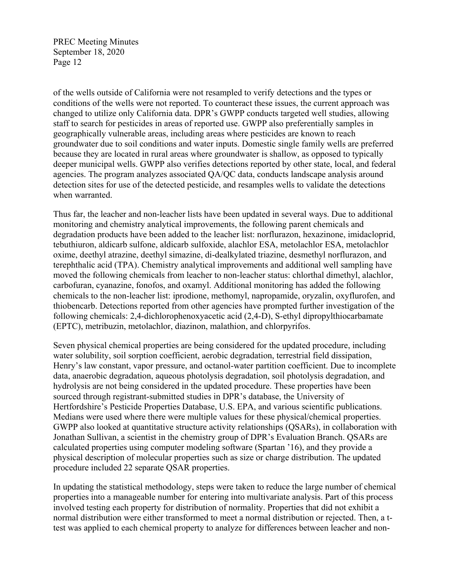of the wells outside of California were not resampled to verify detections and the types or conditions of the wells were not reported. To counteract these issues, the current approach was changed to utilize only California data. DPR's GWPP conducts targeted well studies, allowing staff to search for pesticides in areas of reported use. GWPP also preferentially samples in geographically vulnerable areas, including areas where pesticides are known to reach groundwater due to soil conditions and water inputs. Domestic single family wells are preferred because they are located in rural areas where groundwater is shallow, as opposed to typically deeper municipal wells. GWPP also verifies detections reported by other state, local, and federal agencies. The program analyzes associated QA/QC data, conducts landscape analysis around detection sites for use of the detected pesticide, and resamples wells to validate the detections when warranted.

Thus far, the leacher and non-leacher lists have been updated in several ways. Due to additional monitoring and chemistry analytical improvements, the following parent chemicals and degradation products have been added to the leacher list: norflurazon, hexazinone, imidacloprid, tebuthiuron, aldicarb sulfone, aldicarb sulfoxide, alachlor ESA, metolachlor ESA, metolachlor oxime, deethyl atrazine, deethyl simazine, di-dealkylated triazine, desmethyl norflurazon, and terephthalic acid (TPA). Chemistry analytical improvements and additional well sampling have moved the following chemicals from leacher to non-leacher status: chlorthal dimethyl, alachlor, carbofuran, cyanazine, fonofos, and oxamyl. Additional monitoring has added the following chemicals to the non-leacher list: iprodione, methomyl, napropamide, oryzalin, oxyflurofen, and thiobencarb. Detections reported from other agencies have prompted further investigation of the following chemicals: 2,4-dichlorophenoxyacetic acid (2,4-D), S-ethyl dipropylthiocarbamate (EPTC), metribuzin, metolachlor, diazinon, malathion, and chlorpyrifos.

Seven physical chemical properties are being considered for the updated procedure, including water solubility, soil sorption coefficient, aerobic degradation, terrestrial field dissipation, Henry's law constant, vapor pressure, and octanol-water partition coefficient. Due to incomplete data, anaerobic degradation, aqueous photolysis degradation, soil photolysis degradation, and hydrolysis are not being considered in the updated procedure. These properties have been sourced through registrant-submitted studies in DPR's database, the University of Hertfordshire's Pesticide Properties Database, U.S. EPA, and various scientific publications. Medians were used where there were multiple values for these physical/chemical properties. GWPP also looked at quantitative structure activity relationships (QSARs), in collaboration with Jonathan Sullivan, a scientist in the chemistry group of DPR's Evaluation Branch. QSARs are calculated properties using computer modeling software (Spartan '16), and they provide a physical description of molecular properties such as size or charge distribution. The updated procedure included 22 separate QSAR properties.

In updating the statistical methodology, steps were taken to reduce the large number of chemical properties into a manageable number for entering into multivariate analysis. Part of this process involved testing each property for distribution of normality. Properties that did not exhibit a normal distribution were either transformed to meet a normal distribution or rejected. Then, a ttest was applied to each chemical property to analyze for differences between leacher and non-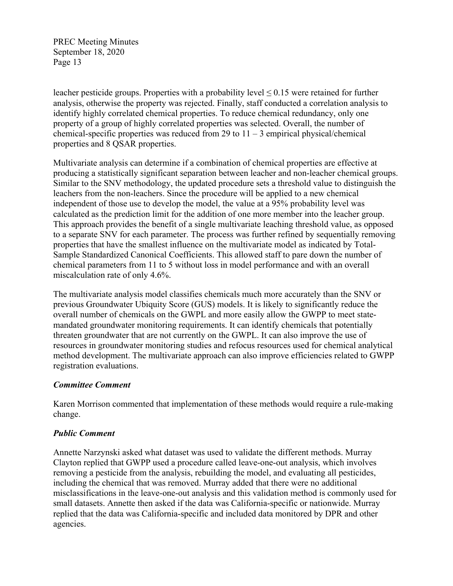leacher pesticide groups. Properties with a probability level  $\leq 0.15$  were retained for further analysis, otherwise the property was rejected. Finally, staff conducted a correlation analysis to identify highly correlated chemical properties. To reduce chemical redundancy, only one property of a group of highly correlated properties was selected. Overall, the number of chemical-specific properties was reduced from 29 to  $11 - 3$  empirical physical/chemical properties and 8 QSAR properties.

Multivariate analysis can determine if a combination of chemical properties are effective at producing a statistically significant separation between leacher and non-leacher chemical groups. Similar to the SNV methodology, the updated procedure sets a threshold value to distinguish the leachers from the non-leachers. Since the procedure will be applied to a new chemical independent of those use to develop the model, the value at a 95% probability level was calculated as the prediction limit for the addition of one more member into the leacher group. This approach provides the benefit of a single multivariate leaching threshold value, as opposed to a separate SNV for each parameter. The process was further refined by sequentially removing properties that have the smallest influence on the multivariate model as indicated by Total-Sample Standardized Canonical Coefficients. This allowed staff to pare down the number of chemical parameters from 11 to 5 without loss in model performance and with an overall miscalculation rate of only 4.6%.

The multivariate analysis model classifies chemicals much more accurately than the SNV or previous Groundwater Ubiquity Score (GUS) models. It is likely to significantly reduce the overall number of chemicals on the GWPL and more easily allow the GWPP to meet statemandated groundwater monitoring requirements. It can identify chemicals that potentially threaten groundwater that are not currently on the GWPL. It can also improve the use of resources in groundwater monitoring studies and refocus resources used for chemical analytical method development. The multivariate approach can also improve efficiencies related to GWPP registration evaluations.

### *Committee Comment*

Karen Morrison commented that implementation of these methods would require a rule-making change.

### *Public Comment*

Annette Narzynski asked what dataset was used to validate the different methods. Murray Clayton replied that GWPP used a procedure called leave-one-out analysis, which involves removing a pesticide from the analysis, rebuilding the model, and evaluating all pesticides, including the chemical that was removed. Murray added that there were no additional misclassifications in the leave-one-out analysis and this validation method is commonly used for small datasets. Annette then asked if the data was California-specific or nationwide. Murray replied that the data was California-specific and included data monitored by DPR and other agencies.